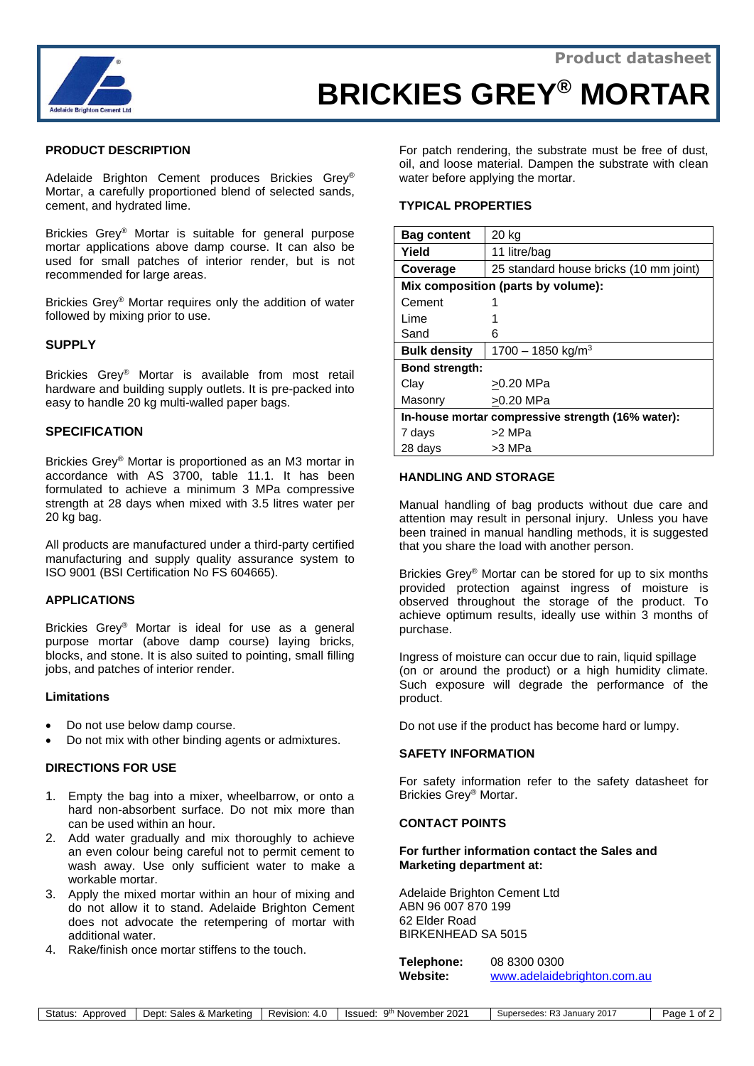

# **BRICKIES GREY® MORTAR**

## **PRODUCT DESCRIPTION**

Adelaide Brighton Cement produces Brickies Grey® Mortar, a carefully proportioned blend of selected sands, cement, and hydrated lime.

Brickies Grey® Mortar is suitable for general purpose mortar applications above damp course. It can also be used for small patches of interior render, but is not recommended for large areas.

Brickies Grey® Mortar requires only the addition of water followed by mixing prior to use.

## **SUPPLY**

Brickies Grey® Mortar is available from most retail hardware and building supply outlets. It is pre-packed into easy to handle 20 kg multi-walled paper bags.

## **SPECIFICATION**

Brickies Grey® Mortar is proportioned as an M3 mortar in accordance with AS 3700, table 11.1. It has been formulated to achieve a minimum 3 MPa compressive strength at 28 days when mixed with 3.5 litres water per 20 kg bag.

All products are manufactured under a third-party certified manufacturing and supply quality assurance system to ISO 9001 (BSI Certification No FS 604665).

#### **APPLICATIONS**

Brickies Grey® Mortar is ideal for use as a general purpose mortar (above damp course) laying bricks, blocks, and stone. It is also suited to pointing, small filling jobs, and patches of interior render.

#### **Limitations**

- Do not use below damp course.
- Do not mix with other binding agents or admixtures.

## **DIRECTIONS FOR USE**

- 1. Empty the bag into a mixer, wheelbarrow, or onto a hard non-absorbent surface. Do not mix more than can be used within an hour.
- 2. Add water gradually and mix thoroughly to achieve an even colour being careful not to permit cement to wash away. Use only sufficient water to make a workable mortar.
- 3. Apply the mixed mortar within an hour of mixing and do not allow it to stand. Adelaide Brighton Cement does not advocate the retempering of mortar with additional water.
- 4. Rake/finish once mortar stiffens to the touch.

For patch rendering, the substrate must be free of dust, oil, and loose material. Dampen the substrate with clean water before applying the mortar.

#### **TYPICAL PROPERTIES**

| <b>Bag content</b>                                | 20 kg                                  |
|---------------------------------------------------|----------------------------------------|
| Yield                                             | 11 litre/bag                           |
| Coverage                                          | 25 standard house bricks (10 mm joint) |
| Mix composition (parts by volume):                |                                        |
| Cement                                            |                                        |
| Lime                                              |                                        |
| Sand                                              | 6                                      |
| <b>Bulk density</b>                               | 1700 - 1850 kg/m <sup>3</sup>          |
| <b>Bond strength:</b>                             |                                        |
| Clay                                              | >0.20 MPa                              |
| Masonry                                           | >0.20 MPa                              |
| In-house mortar compressive strength (16% water): |                                        |
| 7 days                                            | >2 MPa                                 |
| 28 days                                           | >3 MPa                                 |

## **HANDLING AND STORAGE**

Manual handling of bag products without due care and attention may result in personal injury. Unless you have been trained in manual handling methods, it is suggested that you share the load with another person.

Brickies Grey® Mortar can be stored for up to six months provided protection against ingress of moisture is observed throughout the storage of the product. To achieve optimum results, ideally use within 3 months of purchase.

Ingress of moisture can occur due to rain, liquid spillage (on or around the product) or a high humidity climate. Such exposure will degrade the performance of the product.

Do not use if the product has become hard or lumpy.

## **SAFETY INFORMATION**

For safety information refer to the safety datasheet for Brickies Grey® Mortar.

#### **CONTACT POINTS**

### **For further information contact the Sales and Marketing department at:**

Adelaide Brighton Cement Ltd ABN 96 007 870 199 62 Elder Road BIRKENHEAD SA 5015

**Telephone:** 08 8300 0300 Website: [www.adelaidebrighton.com.au](http://www.adelaidebrighton.com.au/)